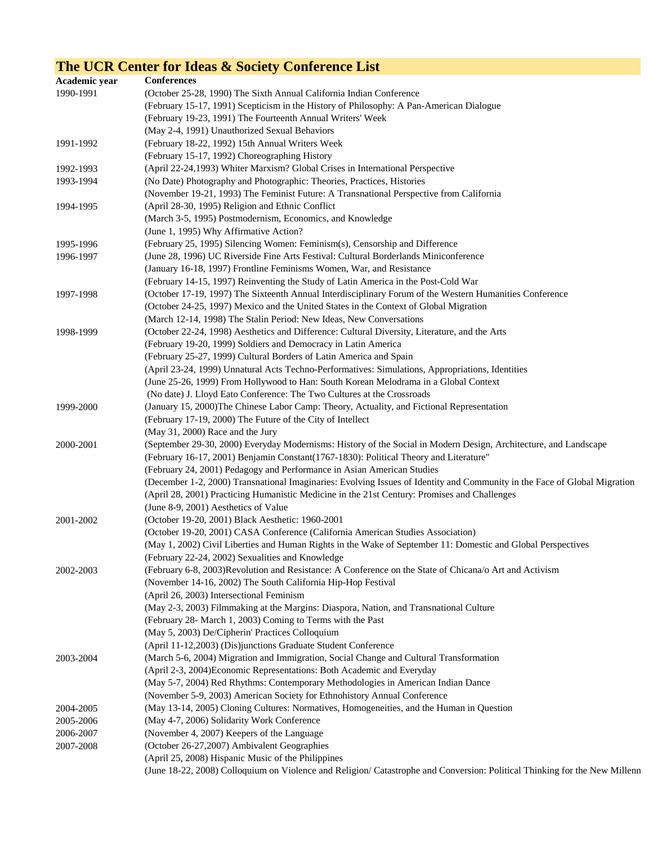## **The UCR Center for Ideas & Society Conference List**

| Academic year | <b>Conferences</b>                                                                                                         |
|---------------|----------------------------------------------------------------------------------------------------------------------------|
| 1990-1991     | (October 25-28, 1990) The Sixth Annual California Indian Conference                                                        |
|               | (February 15-17, 1991) Scepticism in the History of Philosophy: A Pan-American Dialogue                                    |
|               | (February 19-23, 1991) The Fourteenth Annual Writers' Week                                                                 |
|               | (May 2-4, 1991) Unauthorized Sexual Behaviors                                                                              |
| 1991-1992     | (February 18-22, 1992) 15th Annual Writers Week                                                                            |
|               | (February 15-17, 1992) Choreographing History                                                                              |
| 1992-1993     | (April 22-24,1993) Whiter Marxism? Global Crises in International Perspective                                              |
| 1993-1994     | (No Date) Photography and Photographic: Theories, Practices, Histories                                                     |
|               | (November 19-21, 1993) The Feminist Future: A Transnational Perspective from California                                    |
| 1994-1995     | (April 28-30, 1995) Religion and Ethnic Conflict                                                                           |
|               | (March 3-5, 1995) Postmodernism, Economics, and Knowledge                                                                  |
|               | (June 1, 1995) Why Affirmative Action?                                                                                     |
| 1995-1996     | (February 25, 1995) Silencing Women: Feminism(s), Censorship and Difference                                                |
| 1996-1997     | (June 28, 1996) UC Riverside Fine Arts Festival: Cultural Borderlands Miniconference                                       |
|               | (January 16-18, 1997) Frontline Feminisms Women, War, and Resistance                                                       |
|               | (February 14-15, 1997) Reinventing the Study of Latin America in the Post-Cold War                                         |
| 1997-1998     | (October 17-19, 1997) The Sixteenth Annual Interdisciplinary Forum of the Western Humanities Conference                    |
|               | (October 24-25, 1997) Mexico and the United States in the Context of Global Migration                                      |
|               | (March 12-14, 1998) The Stalin Period: New Ideas, New Conversations                                                        |
| 1998-1999     | (October 22-24, 1998) Aesthetics and Difference: Cultural Diversity, Literature, and the Arts                              |
|               | (February 19-20, 1999) Soldiers and Democracy in Latin America                                                             |
|               | (February 25-27, 1999) Cultural Borders of Latin America and Spain                                                         |
|               | (April 23-24, 1999) Unnatural Acts Techno-Performatives: Simulations, Appropriations, Identities                           |
|               | (June 25-26, 1999) From Hollywood to Han: South Korean Melodrama in a Global Context                                       |
|               | (No date) J. Lloyd Eato Conference: The Two Cultures at the Crossroads                                                     |
| 1999-2000     | (January 15, 2000)The Chinese Labor Camp: Theory, Actuality, and Fictional Representation                                  |
|               | (February 17-19, 2000) The Future of the City of Intellect                                                                 |
|               | (May 31, 2000) Race and the Jury                                                                                           |
| 2000-2001     | (September 29-30, 2000) Everyday Modernisms: History of the Social in Modern Design, Architecture, and Landscape           |
|               | (February 16-17, 2001) Benjamin Constant(1767-1830): Political Theory and Literature"                                      |
|               | (February 24, 2001) Pedagogy and Performance in Asian American Studies                                                     |
|               | (December 1-2, 2000) Transnational Imaginaries: Evolving Issues of Identity and Community in the Face of Global Migration  |
|               | (April 28, 2001) Practicing Humanistic Medicine in the 21st Century: Promises and Challenges                               |
|               | (June 8-9, 2001) Aesthetics of Value                                                                                       |
| 2001-2002     | (October 19-20, 2001) Black Aesthetic: 1960-2001                                                                           |
|               | (October 19-20, 2001) CASA Conference (California American Studies Association)                                            |
|               | (May 1, 2002) Civil Liberties and Human Rights in the Wake of September 11: Domestic and Global Perspectives               |
|               | (February 22-24, 2002) Sexualities and Knowledge                                                                           |
| 2002-2003     | (February 6-8, 2003)Revolution and Resistance: A Conference on the State of Chicana/o Art and Activism                     |
|               | (November 14-16, 2002) The South California Hip-Hop Festival                                                               |
|               | (April 26, 2003) Intersectional Feminism                                                                                   |
|               | (May 2-3, 2003) Filmmaking at the Margins: Diaspora, Nation, and Transnational Culture                                     |
|               | (February 28- March 1, 2003) Coming to Terms with the Past                                                                 |
|               | (May 5, 2003) De/Cipherin' Practices Colloquium                                                                            |
|               | (April 11-12,2003) (Dis)junctions Graduate Student Conference                                                              |
| 2003-2004     | (March 5-6, 2004) Migration and Immigration, Social Change and Cultural Transformation                                     |
|               | (April 2-3, 2004) Economic Representations: Both Academic and Everyday                                                     |
|               | (May 5-7, 2004) Red Rhythms: Contemporary Methodologies in American Indian Dance                                           |
|               | (November 5-9, 2003) American Society for Ethnohistory Annual Conference                                                   |
| 2004-2005     | (May 13-14, 2005) Cloning Cultures: Normatives, Homogeneities, and the Human in Question                                   |
| 2005-2006     | (May 4-7, 2006) Solidarity Work Conference                                                                                 |
| 2006-2007     | (November 4, 2007) Keepers of the Language                                                                                 |
| 2007-2008     | (October 26-27,2007) Ambivalent Geographies                                                                                |
|               | (April 25, 2008) Hispanic Music of the Philippines                                                                         |
|               | (June 18-22, 2008) Colloquium on Violence and Religion/ Catastrophe and Conversion: Political Thinking for the New Millenn |